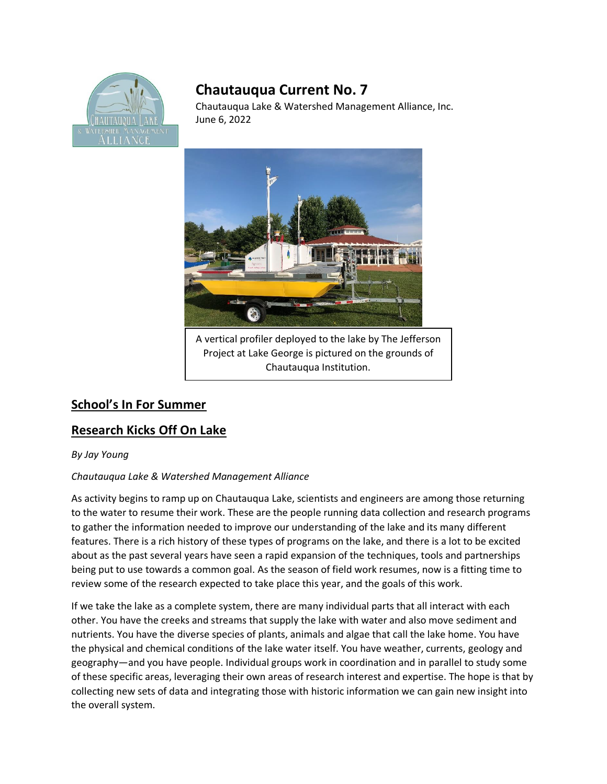

# **Chautauqua Current No. 7**

Chautauqua Lake & Watershed Management Alliance, Inc. June 6, 2022



A vertical profiler deployed to the lake by The Jefferson Project at Lake George is pictured on the grounds of Chautauqua Institution.

## **School's In For Summer**

### **Research Kicks Off On Lake**

#### *By Jay Young*

#### *Chautauqua Lake & Watershed Management Alliance*

As activity begins to ramp up on Chautauqua Lake, scientists and engineers are among those returning to the water to resume their work. These are the people running data collection and research programs to gather the information needed to improve our understanding of the lake and its many different features. There is a rich history of these types of programs on the lake, and there is a lot to be excited about as the past several years have seen a rapid expansion of the techniques, tools and partnerships being put to use towards a common goal. As the season of field work resumes, now is a fitting time to review some of the research expected to take place this year, and the goals of this work.

If we take the lake as a complete system, there are many individual parts that all interact with each other. You have the creeks and streams that supply the lake with water and also move sediment and nutrients. You have the diverse species of plants, animals and algae that call the lake home. You have the physical and chemical conditions of the lake water itself. You have weather, currents, geology and geography—and you have people. Individual groups work in coordination and in parallel to study some of these specific areas, leveraging their own areas of research interest and expertise. The hope is that by collecting new sets of data and integrating those with historic information we can gain new insight into the overall system.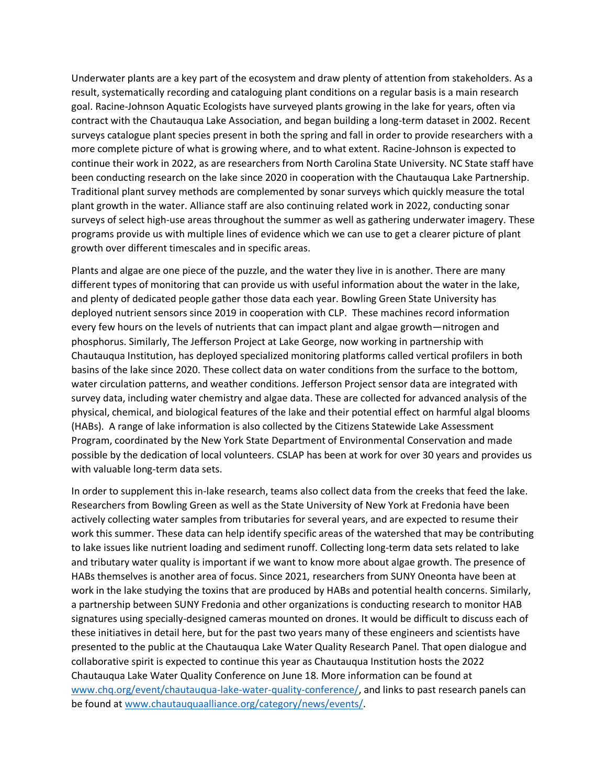Underwater plants are a key part of the ecosystem and draw plenty of attention from stakeholders. As a result, systematically recording and cataloguing plant conditions on a regular basis is a main research goal. Racine-Johnson Aquatic Ecologists have surveyed plants growing in the lake for years, often via contract with the Chautauqua Lake Association, and began building a long-term dataset in 2002. Recent surveys catalogue plant species present in both the spring and fall in order to provide researchers with a more complete picture of what is growing where, and to what extent. Racine-Johnson is expected to continue their work in 2022, as are researchers from North Carolina State University. NC State staff have been conducting research on the lake since 2020 in cooperation with the Chautauqua Lake Partnership. Traditional plant survey methods are complemented by sonar surveys which quickly measure the total plant growth in the water. Alliance staff are also continuing related work in 2022, conducting sonar surveys of select high-use areas throughout the summer as well as gathering underwater imagery. These programs provide us with multiple lines of evidence which we can use to get a clearer picture of plant growth over different timescales and in specific areas.

Plants and algae are one piece of the puzzle, and the water they live in is another. There are many different types of monitoring that can provide us with useful information about the water in the lake, and plenty of dedicated people gather those data each year. Bowling Green State University has deployed nutrient sensors since 2019 in cooperation with CLP. These machines record information every few hours on the levels of nutrients that can impact plant and algae growth—nitrogen and phosphorus. Similarly, The Jefferson Project at Lake George, now working in partnership with Chautauqua Institution, has deployed specialized monitoring platforms called vertical profilers in both basins of the lake since 2020. These collect data on water conditions from the surface to the bottom, water circulation patterns, and weather conditions. Jefferson Project sensor data are integrated with survey data, including water chemistry and algae data. These are collected for advanced analysis of the physical, chemical, and biological features of the lake and their potential effect on harmful algal blooms (HABs). A range of lake information is also collected by the Citizens Statewide Lake Assessment Program, coordinated by the New York State Department of Environmental Conservation and made possible by the dedication of local volunteers. CSLAP has been at work for over 30 years and provides us with valuable long-term data sets.

In order to supplement this in-lake research, teams also collect data from the creeks that feed the lake. Researchers from Bowling Green as well as the State University of New York at Fredonia have been actively collecting water samples from tributaries for several years, and are expected to resume their work this summer. These data can help identify specific areas of the watershed that may be contributing to lake issues like nutrient loading and sediment runoff. Collecting long-term data sets related to lake and tributary water quality is important if we want to know more about algae growth. The presence of HABs themselves is another area of focus. Since 2021, researchers from SUNY Oneonta have been at work in the lake studying the toxins that are produced by HABs and potential health concerns. Similarly, a partnership between SUNY Fredonia and other organizations is conducting research to monitor HAB signatures using specially-designed cameras mounted on drones. It would be difficult to discuss each of these initiatives in detail here, but for the past two years many of these engineers and scientists have presented to the public at the Chautauqua Lake Water Quality Research Panel. That open dialogue and collaborative spirit is expected to continue this year as Chautauqua Institution hosts the 2022 Chautauqua Lake Water Quality Conference on June 18. More information can be found at [www.chq.org/event/chautauqua-lake-water-quality-conference/,](http://www.chq.org/event/chautauqua-lake-water-quality-conference/) and links to past research panels can be found at [www.chautauquaalliance.org/category/news/events/.](http://www.chautauquaalliance.org/category/news/events/)